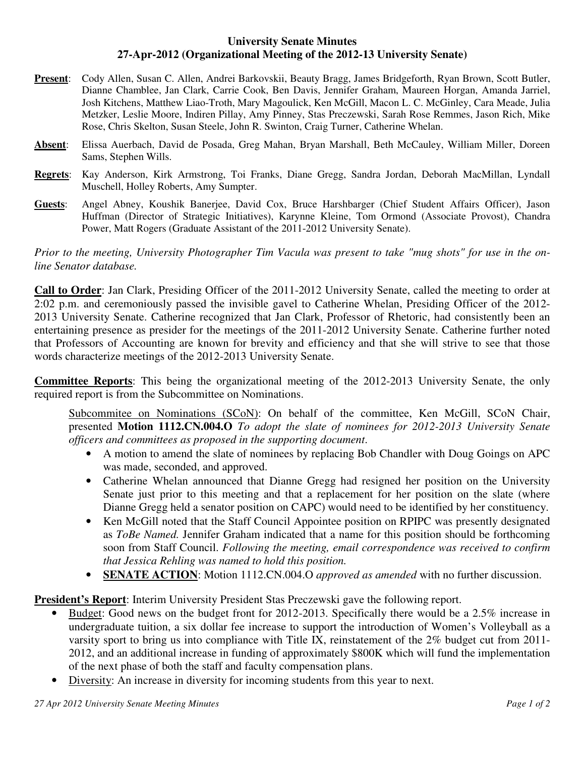## **University Senate Minutes 27-Apr-2012 (Organizational Meeting of the 2012-13 University Senate)**

- **Present**: Cody Allen, Susan C. Allen, Andrei Barkovskii, Beauty Bragg, James Bridgeforth, Ryan Brown, Scott Butler, Dianne Chamblee, Jan Clark, Carrie Cook, Ben Davis, Jennifer Graham, Maureen Horgan, Amanda Jarriel, Josh Kitchens, Matthew Liao-Troth, Mary Magoulick, Ken McGill, Macon L. C. McGinley, Cara Meade, Julia Metzker, Leslie Moore, Indiren Pillay, Amy Pinney, Stas Preczewski, Sarah Rose Remmes, Jason Rich, Mike Rose, Chris Skelton, Susan Steele, John R. Swinton, Craig Turner, Catherine Whelan.
- **Absent**: Elissa Auerbach, David de Posada, Greg Mahan, Bryan Marshall, Beth McCauley, William Miller, Doreen Sams, Stephen Wills.
- **Regrets**: Kay Anderson, Kirk Armstrong, Toi Franks, Diane Gregg, Sandra Jordan, Deborah MacMillan, Lyndall Muschell, Holley Roberts, Amy Sumpter.
- **Guests**: Angel Abney, Koushik Banerjee, David Cox, Bruce Harshbarger (Chief Student Affairs Officer), Jason Huffman (Director of Strategic Initiatives), Karynne Kleine, Tom Ormond (Associate Provost), Chandra Power, Matt Rogers (Graduate Assistant of the 2011-2012 University Senate).

*Prior to the meeting, University Photographer Tim Vacula was present to take "mug shots" for use in the online Senator database.* 

**Call to Order**: Jan Clark, Presiding Officer of the 2011-2012 University Senate, called the meeting to order at 2:02 p.m. and ceremoniously passed the invisible gavel to Catherine Whelan, Presiding Officer of the 2012- 2013 University Senate. Catherine recognized that Jan Clark, Professor of Rhetoric, had consistently been an entertaining presence as presider for the meetings of the 2011-2012 University Senate. Catherine further noted that Professors of Accounting are known for brevity and efficiency and that she will strive to see that those words characterize meetings of the 2012-2013 University Senate.

**Committee Reports**: This being the organizational meeting of the 2012-2013 University Senate, the only required report is from the Subcommittee on Nominations.

Subcommitee on Nominations (SCoN): On behalf of the committee, Ken McGill, SCoN Chair, presented **Motion 1112.CN.004.O** *To adopt the slate of nominees for 2012-2013 University Senate officers and committees as proposed in the supporting document*.

- A motion to amend the slate of nominees by replacing Bob Chandler with Doug Goings on APC was made, seconded, and approved.
- Catherine Whelan announced that Dianne Gregg had resigned her position on the University Senate just prior to this meeting and that a replacement for her position on the slate (where Dianne Gregg held a senator position on CAPC) would need to be identified by her constituency.
- Ken McGill noted that the Staff Council Appointee position on RPIPC was presently designated as *ToBe Named.* Jennifer Graham indicated that a name for this position should be forthcoming soon from Staff Council. *Following the meeting, email correspondence was received to confirm that Jessica Rehling was named to hold this position.*
- **SENATE ACTION**: Motion 1112.CN.004.O *approved as amended* with no further discussion.

**President's Report**: Interim University President Stas Preczewski gave the following report.

- Budget: Good news on the budget front for 2012-2013. Specifically there would be a 2.5% increase in undergraduate tuition, a six dollar fee increase to support the introduction of Women's Volleyball as a varsity sport to bring us into compliance with Title IX, reinstatement of the 2% budget cut from 2011- 2012, and an additional increase in funding of approximately \$800K which will fund the implementation of the next phase of both the staff and faculty compensation plans.
- Diversity: An increase in diversity for incoming students from this year to next.